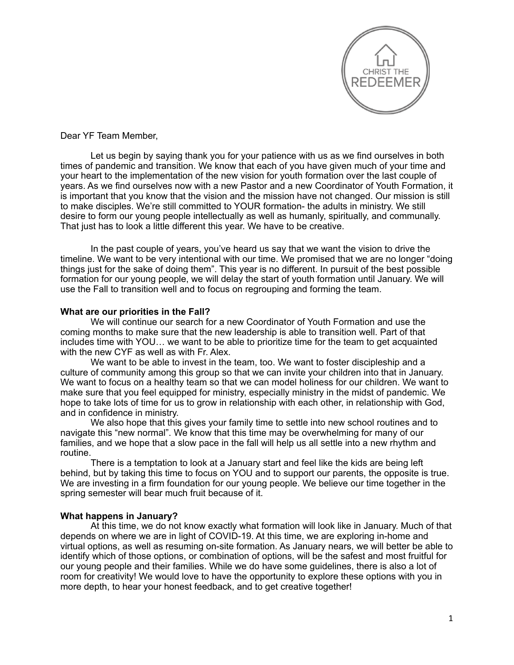

## Dear YF Team Member,

Let us begin by saying thank you for your patience with us as we find ourselves in both times of pandemic and transition. We know that each of you have given much of your time and your heart to the implementation of the new vision for youth formation over the last couple of years. As we find ourselves now with a new Pastor and a new Coordinator of Youth Formation, it is important that you know that the vision and the mission have not changed. Our mission is still to make disciples. We're still committed to YOUR formation- the adults in ministry. We still desire to form our young people intellectually as well as humanly, spiritually, and communally. That just has to look a little different this year. We have to be creative.

In the past couple of years, you've heard us say that we want the vision to drive the timeline. We want to be very intentional with our time. We promised that we are no longer "doing things just for the sake of doing them". This year is no different. In pursuit of the best possible formation for our young people, we will delay the start of youth formation until January. We will use the Fall to transition well and to focus on regrouping and forming the team.

## **What are our priorities in the Fall?**

We will continue our search for a new Coordinator of Youth Formation and use the coming months to make sure that the new leadership is able to transition well. Part of that includes time with YOU… we want to be able to prioritize time for the team to get acquainted with the new CYF as well as with Fr. Alex.

We want to be able to invest in the team, too. We want to foster discipleship and a culture of community among this group so that we can invite your children into that in January. We want to focus on a healthy team so that we can model holiness for our children. We want to make sure that you feel equipped for ministry, especially ministry in the midst of pandemic. We hope to take lots of time for us to grow in relationship with each other, in relationship with God, and in confidence in ministry.

We also hope that this gives your family time to settle into new school routines and to navigate this "new normal". We know that this time may be overwhelming for many of our families, and we hope that a slow pace in the fall will help us all settle into a new rhythm and routine.

There is a temptation to look at a January start and feel like the kids are being left behind, but by taking this time to focus on YOU and to support our parents, the opposite is true. We are investing in a firm foundation for our young people. We believe our time together in the spring semester will bear much fruit because of it.

## **What happens in January?**

 At this time, we do not know exactly what formation will look like in January. Much of that depends on where we are in light of COVID-19. At this time, we are exploring in-home and virtual options, as well as resuming on-site formation. As January nears, we will better be able to identify which of those options, or combination of options, will be the safest and most fruitful for our young people and their families. While we do have some guidelines, there is also a lot of room for creativity! We would love to have the opportunity to explore these options with you in more depth, to hear your honest feedback, and to get creative together!